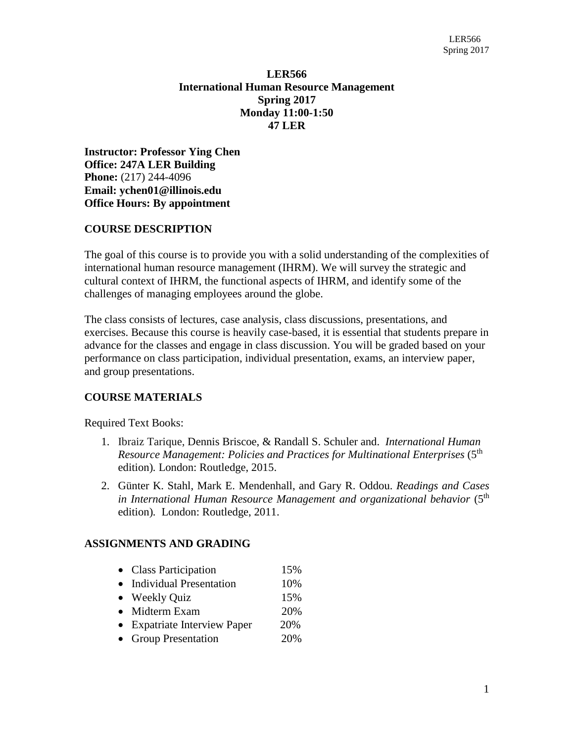## **LER566 International Human Resource Management Spring 2017 Monday 11:00-1:50 47 LER**

**Instructor: Professor Ying Chen Office: 247A LER Building Phone:** (217) 244-4096 **Email: [ychen01@illinois.edu](mailto:ychen01@illinois.edu) Office Hours: By appointment**

## **COURSE DESCRIPTION**

The goal of this course is to provide you with a solid understanding of the complexities of international human resource management (IHRM). We will survey the strategic and cultural context of IHRM, the functional aspects of IHRM, and identify some of the challenges of managing employees around the globe.

The class consists of lectures, case analysis, class discussions, presentations, and exercises. Because this course is heavily case-based, it is essential that students prepare in advance for the classes and engage in class discussion. You will be graded based on your performance on class participation, individual presentation, exams, an interview paper, and group presentations.

# **COURSE MATERIALS**

Required Text Books:

- 1. Ibraiz [Tarique,](http://www.routledge.com/books/search/author/ibraiz_tarique/) Dennis Briscoe, & Randall S. Schuler and. *International Human*  Resource Management: Policies and Practices for Multinational Enterprises (5<sup>th</sup> edition)*.* London: Routledge, 2015.
- 2. [Günter](http://www.routledge.com/books/search/author/guenter_k_stahl/) K. Stahl, Mark E. [Mendenhall,](http://www.routledge.com/books/search/author/mark_e_mendenhall/) and Gary R. [Oddou.](http://www.routledge.com/books/search/author/gary_r_oddou/) *Readings and Cases in International Human Resource Management and organizational behavior* (5th edition)*.* London: Routledge, 2011.

### **ASSIGNMENTS AND GRADING**

- Class Participation 15%
- Individual Presentation 10%
- Weekly Quiz 15%
- Midterm Exam 20%
- Expatriate Interview Paper 20%
- Group Presentation 20%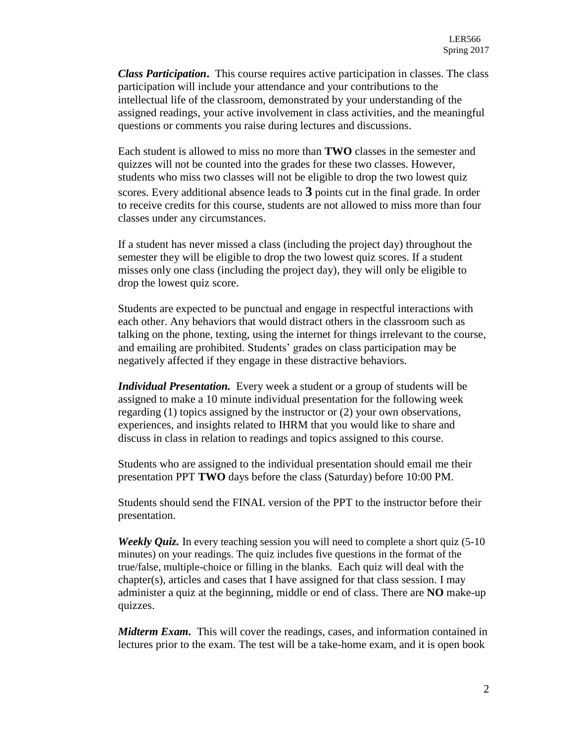*Class Participation***.** This course requires active participation in classes. The class participation will include your attendance and your contributions to the intellectual life of the classroom, demonstrated by your understanding of the assigned readings, your active involvement in class activities, and the meaningful questions or comments you raise during lectures and discussions.

Each student is allowed to miss no more than **TWO** classes in the semester and quizzes will not be counted into the grades for these two classes. However, students who miss two classes will not be eligible to drop the two lowest quiz scores. Every additional absence leads to **3** points cut in the final grade. In order to receive credits for this course, students are not allowed to miss more than four classes under any circumstances.

If a student has never missed a class (including the project day) throughout the semester they will be eligible to drop the two lowest quiz scores. If a student misses only one class (including the project day), they will only be eligible to drop the lowest quiz score.

Students are expected to be punctual and engage in respectful interactions with each other. Any behaviors that would distract others in the classroom such as talking on the phone, texting, using the internet for things irrelevant to the course, and emailing are prohibited. Students' grades on class participation may be negatively affected if they engage in these distractive behaviors.

*Individual Presentation.* Every week a student or a group of students will be assigned to make a 10 minute individual presentation for the following week regarding (1) topics assigned by the instructor or (2) your own observations, experiences, and insights related to IHRM that you would like to share and discuss in class in relation to readings and topics assigned to this course.

Students who are assigned to the individual presentation should email me their presentation PPT **TWO** days before the class (Saturday) before 10:00 PM.

Students should send the FINAL version of the PPT to the instructor before their presentation.

*Weekly Quiz.* In every teaching session you will need to complete a short quiz (5-10) minutes) on your readings. The quiz includes five questions in the format of the true/false, multiple-choice or filling in the blanks. Each quiz will deal with the chapter(s), articles and cases that I have assigned for that class session. I may administer a quiz at the beginning, middle or end of class. There are **NO** make-up quizzes.

*Midterm Exam.* This will cover the readings, cases, and information contained in lectures prior to the exam. The test will be a take-home exam, and it is open book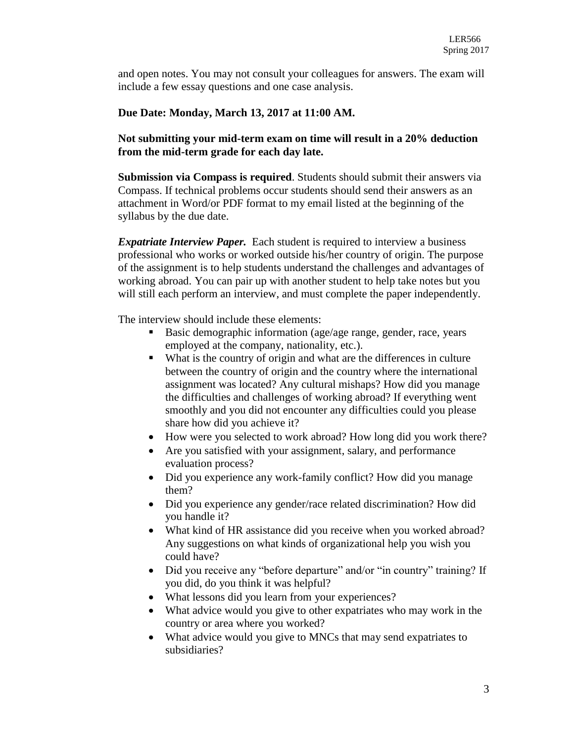and open notes. You may not consult your colleagues for answers. The exam will include a few essay questions and one case analysis.

## **Due Date: Monday, March 13, 2017 at 11:00 AM.**

## **Not submitting your mid-term exam on time will result in a 20% deduction from the mid-term grade for each day late.**

**Submission via Compass is required**. Students should submit their answers via Compass. If technical problems occur students should send their answers as an attachment in Word/or PDF format to my email listed at the beginning of the syllabus by the due date.

*Expatriate Interview Paper.* Each student is required to interview a business professional who works or worked outside his/her country of origin. The purpose of the assignment is to help students understand the challenges and advantages of working abroad. You can pair up with another student to help take notes but you will still each perform an interview, and must complete the paper independently.

The interview should include these elements:

- Basic demographic information (age/age range, gender, race, years employed at the company, nationality, etc.).
- What is the country of origin and what are the differences in culture between the country of origin and the country where the international assignment was located? Any cultural mishaps? How did you manage the difficulties and challenges of working abroad? If everything went smoothly and you did not encounter any difficulties could you please share how did you achieve it?
- How were you selected to work abroad? How long did you work there?
- Are you satisfied with your assignment, salary, and performance evaluation process?
- Did you experience any work-family conflict? How did you manage them?
- Did you experience any gender/race related discrimination? How did you handle it?
- What kind of HR assistance did you receive when you worked abroad? Any suggestions on what kinds of organizational help you wish you could have?
- Did you receive any "before departure" and/or "in country" training? If you did, do you think it was helpful?
- What lessons did you learn from your experiences?
- What advice would you give to other expatriates who may work in the country or area where you worked?
- What advice would you give to MNCs that may send expatriates to subsidiaries?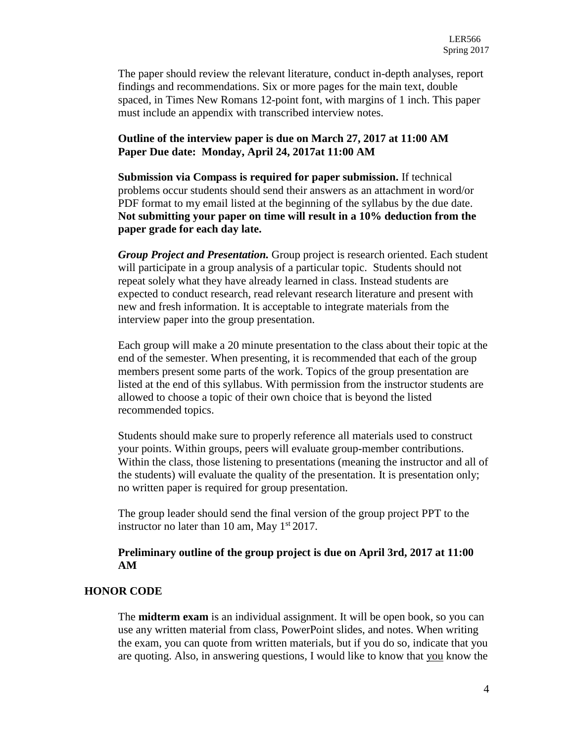The paper should review the relevant literature, conduct in-depth analyses, report findings and recommendations. Six or more pages for the main text, double spaced, in Times New Romans 12-point font, with margins of 1 inch. This paper must include an appendix with transcribed interview notes.

#### **Outline of the interview paper is due on March 27, 2017 at 11:00 AM Paper Due date: Monday, April 24, 2017at 11:00 AM**

**Submission via Compass is required for paper submission.** If technical problems occur students should send their answers as an attachment in word/or PDF format to my email listed at the beginning of the syllabus by the due date. **Not submitting your paper on time will result in a 10% deduction from the paper grade for each day late.** 

*Group Project and Presentation.* Group project is research oriented. Each student will participate in a group analysis of a particular topic. Students should not repeat solely what they have already learned in class. Instead students are expected to conduct research, read relevant research literature and present with new and fresh information. It is acceptable to integrate materials from the interview paper into the group presentation.

Each group will make a 20 minute presentation to the class about their topic at the end of the semester. When presenting, it is recommended that each of the group members present some parts of the work. Topics of the group presentation are listed at the end of this syllabus. With permission from the instructor students are allowed to choose a topic of their own choice that is beyond the listed recommended topics.

Students should make sure to properly reference all materials used to construct your points. Within groups, peers will evaluate group-member contributions. Within the class, those listening to presentations (meaning the instructor and all of the students) will evaluate the quality of the presentation. It is presentation only; no written paper is required for group presentation.

The group leader should send the final version of the group project PPT to the instructor no later than 10 am, May  $1<sup>st</sup> 2017$ .

#### **Preliminary outline of the group project is due on April 3rd, 2017 at 11:00 AM**

#### **HONOR CODE**

The **midterm exam** is an individual assignment. It will be open book, so you can use any written material from class, PowerPoint slides, and notes. When writing the exam, you can quote from written materials, but if you do so, indicate that you are quoting. Also, in answering questions, I would like to know that you know the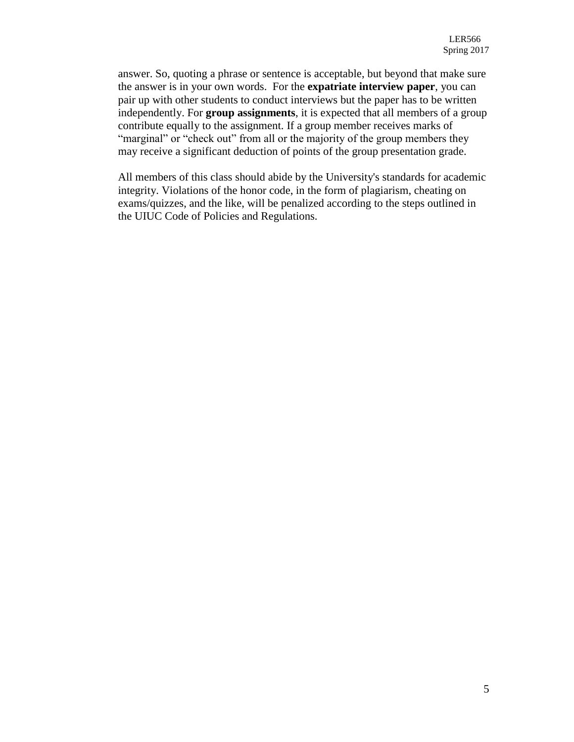answer. So, quoting a phrase or sentence is acceptable, but beyond that make sure the answer is in your own words. For the **expatriate interview paper**, you can pair up with other students to conduct interviews but the paper has to be written independently. For **group assignments**, it is expected that all members of a group contribute equally to the assignment. If a group member receives marks of "marginal" or "check out" from all or the majority of the group members they may receive a significant deduction of points of the group presentation grade.

All members of this class should abide by the University's standards for academic integrity. Violations of the honor code, in the form of plagiarism, cheating on exams/quizzes, and the like, will be penalized according to the steps outlined in the UIUC Code of Policies and Regulations.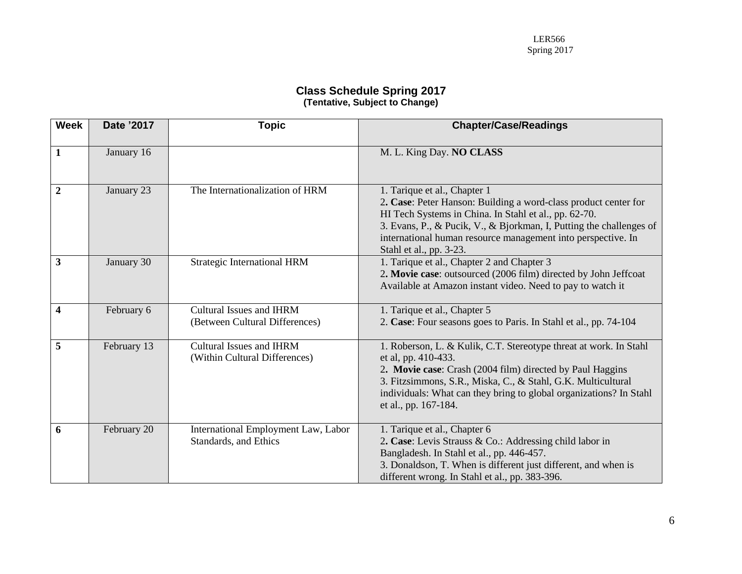#### **Class Schedule Spring 2017 (Tentative, Subject to Change)**

| <b>Week</b>      | Date '2017  | <b>Topic</b>                                                      | <b>Chapter/Case/Readings</b>                                                                                                                                                                                                                                                                                               |
|------------------|-------------|-------------------------------------------------------------------|----------------------------------------------------------------------------------------------------------------------------------------------------------------------------------------------------------------------------------------------------------------------------------------------------------------------------|
| $\mathbf{1}$     | January 16  |                                                                   | M. L. King Day. NO CLASS                                                                                                                                                                                                                                                                                                   |
| $\overline{2}$   | January 23  | The Internationalization of HRM                                   | 1. Tarique et al., Chapter 1<br>2. Case: Peter Hanson: Building a word-class product center for<br>HI Tech Systems in China. In Stahl et al., pp. 62-70.<br>3. Evans, P., & Pucik, V., & Bjorkman, I, Putting the challenges of<br>international human resource management into perspective. In<br>Stahl et al., pp. 3-23. |
| 3                | January 30  | Strategic International HRM                                       | 1. Tarique et al., Chapter 2 and Chapter 3<br>2. Movie case: outsourced (2006 film) directed by John Jeffcoat<br>Available at Amazon instant video. Need to pay to watch it                                                                                                                                                |
| $\boldsymbol{4}$ | February 6  | <b>Cultural Issues and IHRM</b><br>(Between Cultural Differences) | 1. Tarique et al., Chapter 5<br>2. Case: Four seasons goes to Paris. In Stahl et al., pp. 74-104                                                                                                                                                                                                                           |
| 5                | February 13 | Cultural Issues and IHRM<br>(Within Cultural Differences)         | 1. Roberson, L. & Kulik, C.T. Stereotype threat at work. In Stahl<br>et al, pp. 410-433.<br>2. Movie case: Crash (2004 film) directed by Paul Haggins<br>3. Fitzsimmons, S.R., Miska, C., & Stahl, G.K. Multicultural<br>individuals: What can they bring to global organizations? In Stahl<br>et al., pp. 167-184.        |
| 6                | February 20 | International Employment Law, Labor<br>Standards, and Ethics      | 1. Tarique et al., Chapter 6<br>2. Case: Levis Strauss & Co.: Addressing child labor in<br>Bangladesh. In Stahl et al., pp. 446-457.<br>3. Donaldson, T. When is different just different, and when is<br>different wrong. In Stahl et al., pp. 383-396.                                                                   |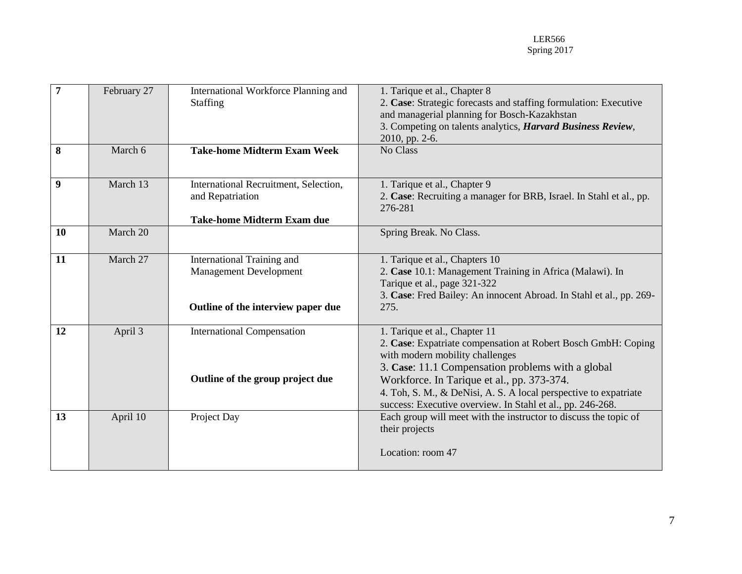| $\overline{7}$ | February 27 | International Workforce Planning and<br><b>Staffing</b>                                           | 1. Tarique et al., Chapter 8<br>2. Case: Strategic forecasts and staffing formulation: Executive<br>and managerial planning for Bosch-Kazakhstan<br>3. Competing on talents analytics, Harvard Business Review,                                                                                                                                                        |  |  |
|----------------|-------------|---------------------------------------------------------------------------------------------------|------------------------------------------------------------------------------------------------------------------------------------------------------------------------------------------------------------------------------------------------------------------------------------------------------------------------------------------------------------------------|--|--|
|                |             |                                                                                                   | 2010, pp. 2-6.                                                                                                                                                                                                                                                                                                                                                         |  |  |
| 8              | March 6     | <b>Take-home Midterm Exam Week</b>                                                                | No Class                                                                                                                                                                                                                                                                                                                                                               |  |  |
| 9              | March 13    | International Recruitment, Selection,<br>and Repatriation<br><b>Take-home Midterm Exam due</b>    | 1. Tarique et al., Chapter 9<br>2. Case: Recruiting a manager for BRB, Israel. In Stahl et al., pp.<br>276-281                                                                                                                                                                                                                                                         |  |  |
| 10             | March 20    |                                                                                                   | Spring Break. No Class.                                                                                                                                                                                                                                                                                                                                                |  |  |
| 11             | March 27    | International Training and<br><b>Management Development</b><br>Outline of the interview paper due | 1. Tarique et al., Chapters 10<br>2. Case 10.1: Management Training in Africa (Malawi). In<br>Tarique et al., page 321-322<br>3. Case: Fred Bailey: An innocent Abroad. In Stahl et al., pp. 269-<br>275.                                                                                                                                                              |  |  |
| 12             | April 3     | <b>International Compensation</b><br>Outline of the group project due                             | 1. Tarique et al., Chapter 11<br>2. Case: Expatriate compensation at Robert Bosch GmbH: Coping<br>with modern mobility challenges<br>3. Case: 11.1 Compensation problems with a global<br>Workforce. In Tarique et al., pp. 373-374.<br>4. Toh, S. M., & DeNisi, A. S. A local perspective to expatriate<br>success: Executive overview. In Stahl et al., pp. 246-268. |  |  |
| 13             | April 10    | Project Day                                                                                       | Each group will meet with the instructor to discuss the topic of<br>their projects<br>Location: room 47                                                                                                                                                                                                                                                                |  |  |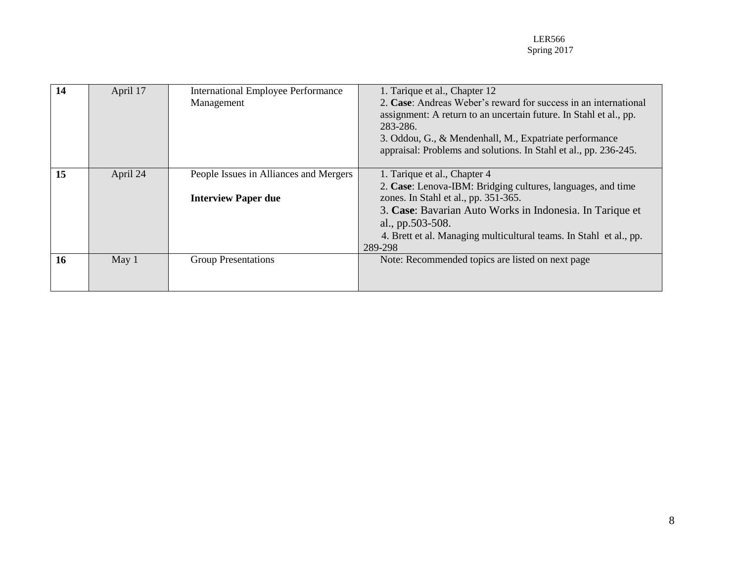| 14        | April 17 | <b>International Employee Performance</b> | 1. Tarique et al., Chapter 12                                      |  |  |
|-----------|----------|-------------------------------------------|--------------------------------------------------------------------|--|--|
|           |          | Management                                | 2. Case: Andreas Weber's reward for success in an international    |  |  |
|           |          |                                           | assignment: A return to an uncertain future. In Stahl et al., pp.  |  |  |
|           |          |                                           | 283-286.                                                           |  |  |
|           |          |                                           | 3. Oddou, G., & Mendenhall, M., Expatriate performance             |  |  |
|           |          |                                           | appraisal: Problems and solutions. In Stahl et al., pp. 236-245.   |  |  |
|           |          |                                           |                                                                    |  |  |
| 15        | April 24 | People Issues in Alliances and Mergers    | 1. Tarique et al., Chapter 4                                       |  |  |
|           |          |                                           | 2. Case: Lenova-IBM: Bridging cultures, languages, and time        |  |  |
|           |          | <b>Interview Paper due</b>                | zones. In Stahl et al., pp. 351-365.                               |  |  |
|           |          |                                           | 3. Case: Bavarian Auto Works in Indonesia. In Tarique et           |  |  |
|           |          |                                           | al., pp.503-508.                                                   |  |  |
|           |          |                                           | 4. Brett et al. Managing multicultural teams. In Stahl et al., pp. |  |  |
|           |          |                                           | 289-298                                                            |  |  |
| <b>16</b> | May $1$  | <b>Group Presentations</b>                | Note: Recommended topics are listed on next page                   |  |  |
|           |          |                                           |                                                                    |  |  |
|           |          |                                           |                                                                    |  |  |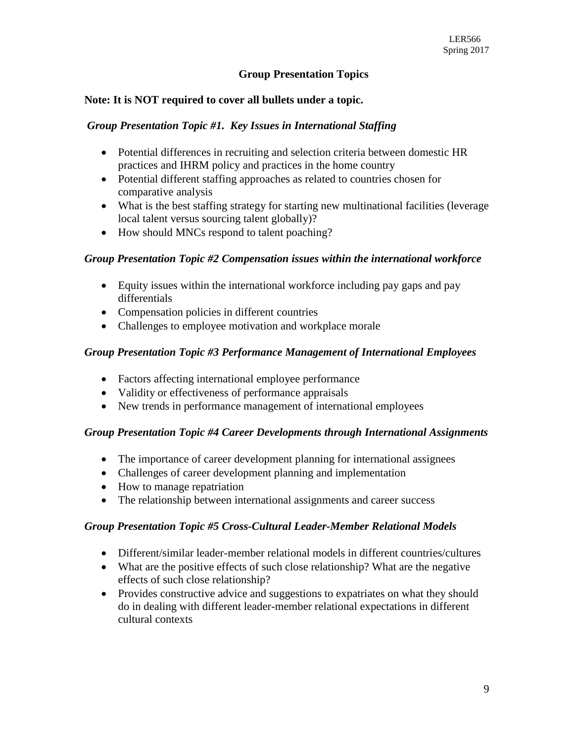## **Group Presentation Topics**

### **Note: It is NOT required to cover all bullets under a topic.**

#### *Group Presentation Topic #1. Key Issues in International Staffing*

- Potential differences in recruiting and selection criteria between domestic HR practices and IHRM policy and practices in the home country
- Potential different staffing approaches as related to countries chosen for comparative analysis
- What is the best staffing strategy for starting new multinational facilities (leverage local talent versus sourcing talent globally)?
- How should MNCs respond to talent poaching?

#### *Group Presentation Topic #2 Compensation issues within the international workforce*

- Equity issues within the international workforce including pay gaps and pay differentials
- Compensation policies in different countries
- Challenges to employee motivation and workplace morale

### *Group Presentation Topic #3 Performance Management of International Employees*

- Factors affecting international employee performance
- Validity or effectiveness of performance appraisals
- New trends in performance management of international employees

#### *Group Presentation Topic #4 Career Developments through International Assignments*

- The importance of career development planning for international assignees
- Challenges of career development planning and implementation
- How to manage repatriation
- The relationship between international assignments and career success

#### *Group Presentation Topic #5 Cross-Cultural Leader-Member Relational Models*

- Different/similar leader-member relational models in different countries/cultures
- What are the positive effects of such close relationship? What are the negative effects of such close relationship?
- Provides constructive advice and suggestions to expatriates on what they should do in dealing with different leader-member relational expectations in different cultural contexts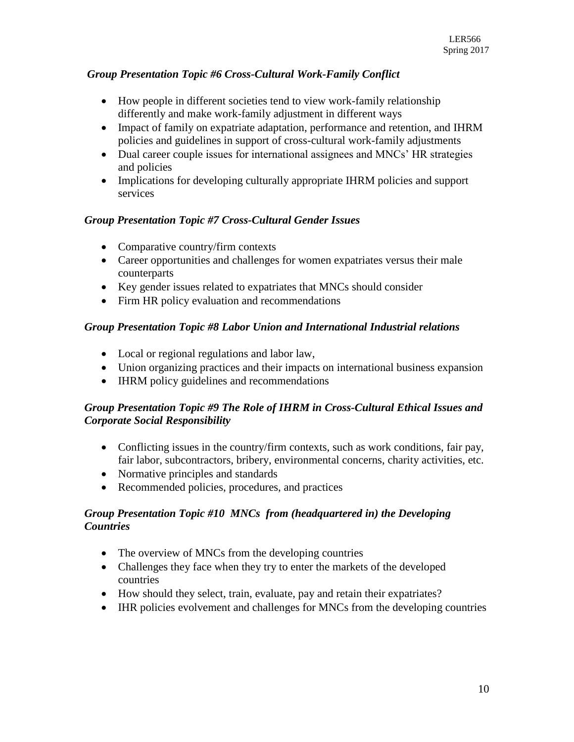# *Group Presentation Topic #6 Cross-Cultural Work-Family Conflict*

- How people in different societies tend to view work-family relationship differently and make work-family adjustment in different ways
- Impact of family on expatriate adaptation, performance and retention, and IHRM policies and guidelines in support of cross-cultural work-family adjustments
- Dual career couple issues for international assignees and MNCs' HR strategies and policies
- Implications for developing culturally appropriate IHRM policies and support services

# *Group Presentation Topic #7 Cross-Cultural Gender Issues*

- Comparative country/firm contexts
- Career opportunities and challenges for women expatriates versus their male counterparts
- Key gender issues related to expatriates that MNCs should consider
- Firm HR policy evaluation and recommendations

# *Group Presentation Topic #8 Labor Union and International Industrial relations*

- Local or regional regulations and labor law,
- Union organizing practices and their impacts on international business expansion
- IHRM policy guidelines and recommendations

# *Group Presentation Topic #9 The Role of IHRM in Cross-Cultural Ethical Issues and Corporate Social Responsibility*

- Conflicting issues in the country/firm contexts, such as work conditions, fair pay, fair labor, subcontractors, bribery, environmental concerns, charity activities, etc.
- Normative principles and standards
- Recommended policies, procedures, and practices

# *Group Presentation Topic #10**MNCs from (headquartered in) the Developing Countries*

- The overview of MNCs from the developing countries
- Challenges they face when they try to enter the markets of the developed countries
- How should they select, train, evaluate, pay and retain their expatriates?
- IHR policies evolvement and challenges for MNCs from the developing countries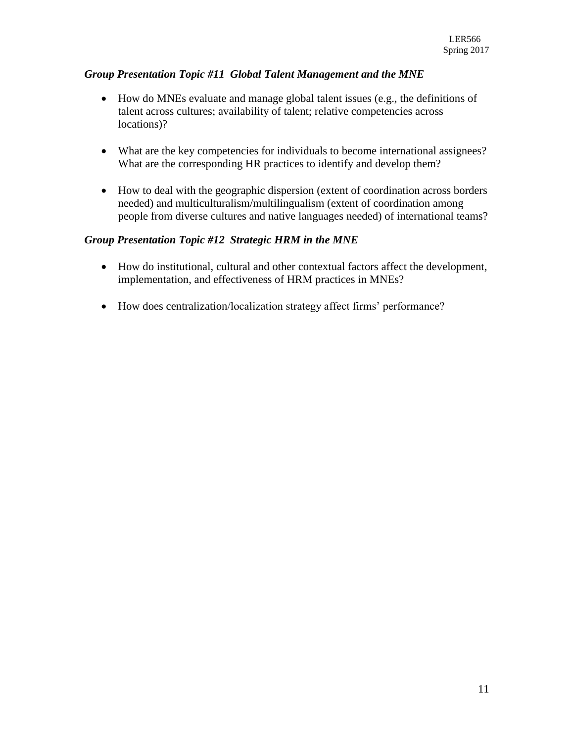# *Group Presentation Topic #11 Global Talent Management and the MNE*

- How do MNEs evaluate and manage global talent issues (e.g., the definitions of talent across cultures; availability of talent; relative competencies across locations)?
- What are the key competencies for individuals to become international assignees? What are the corresponding HR practices to identify and develop them?
- How to deal with the geographic dispersion (extent of coordination across borders needed) and multiculturalism/multilingualism (extent of coordination among people from diverse cultures and native languages needed) of international teams?

# *Group Presentation Topic #12 Strategic HRM in the MNE*

- How do institutional, cultural and other contextual factors affect the development, implementation, and effectiveness of HRM practices in MNEs?
- How does centralization/localization strategy affect firms' performance?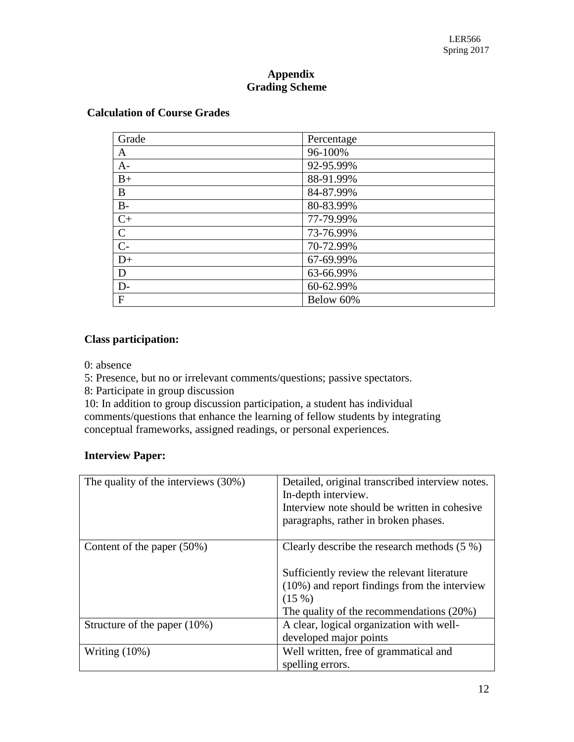## **Appendix Grading Scheme**

| Grade           | Percentage |
|-----------------|------------|
| A               | 96-100%    |
| $A -$           | 92-95.99%  |
| $B+$            | 88-91.99%  |
| B               | 84-87.99%  |
| $B-$            | 80-83.99%  |
| $C+$            | 77-79.99%  |
| $\overline{C}$  | 73-76.99%  |
| $\overline{C}$  | 70-72.99%  |
| $\overline{D+}$ | 67-69.99%  |
| D               | 63-66.99%  |
| $D-$            | 60-62.99%  |
| $\mathbf{F}$    | Below 60%  |

### **Class participation:**

0: absence

5: Presence, but no or irrelevant comments/questions; passive spectators.

8: Participate in group discussion

10: In addition to group discussion participation, a student has individual comments/questions that enhance the learning of fellow students by integrating conceptual frameworks, assigned readings, or personal experiences.

## **Interview Paper:**

| The quality of the interviews (30%) | Detailed, original transcribed interview notes.<br>In-depth interview.<br>Interview note should be written in cohesive<br>paragraphs, rather in broken phases.                                          |
|-------------------------------------|---------------------------------------------------------------------------------------------------------------------------------------------------------------------------------------------------------|
| Content of the paper $(50\%)$       | Clearly describe the research methods $(5\%)$<br>Sufficiently review the relevant literature<br>$(10\%)$ and report findings from the interview<br>(15%)<br>The quality of the recommendations $(20\%)$ |
| Structure of the paper $(10\%)$     | A clear, logical organization with well-<br>developed major points                                                                                                                                      |
| Writing $(10\%)$                    | Well written, free of grammatical and<br>spelling errors.                                                                                                                                               |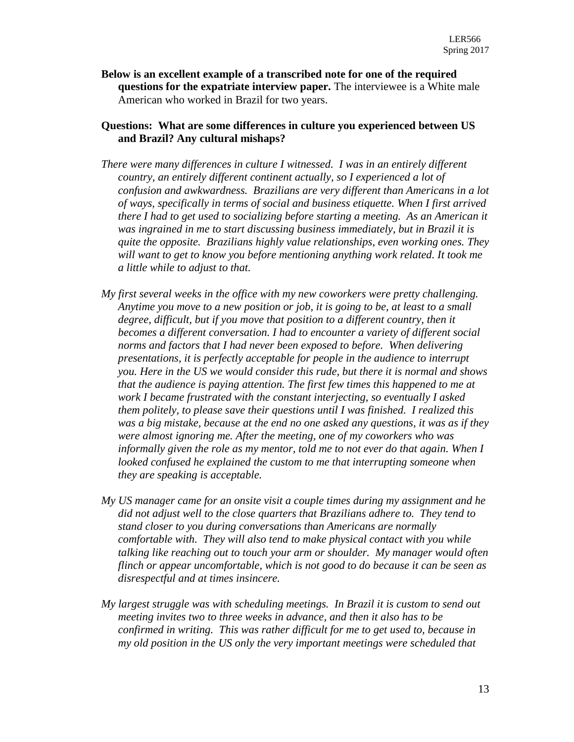**Below is an excellent example of a transcribed note for one of the required questions for the expatriate interview paper.** The interviewee is a White male American who worked in Brazil for two years.

### **Questions: What are some differences in culture you experienced between US and Brazil? Any cultural mishaps?**

- *There were many differences in culture I witnessed. I was in an entirely different country, an entirely different continent actually, so I experienced a lot of confusion and awkwardness. Brazilians are very different than Americans in a lot of ways, specifically in terms of social and business etiquette. When I first arrived there I had to get used to socializing before starting a meeting. As an American it was ingrained in me to start discussing business immediately, but in Brazil it is quite the opposite. Brazilians highly value relationships, even working ones. They will want to get to know you before mentioning anything work related. It took me a little while to adjust to that.*
- *My first several weeks in the office with my new coworkers were pretty challenging. Anytime you move to a new position or job, it is going to be, at least to a small degree, difficult, but if you move that position to a different country, then it becomes a different conversation. I had to encounter a variety of different social norms and factors that I had never been exposed to before. When delivering presentations, it is perfectly acceptable for people in the audience to interrupt you. Here in the US we would consider this rude, but there it is normal and shows that the audience is paying attention. The first few times this happened to me at work I became frustrated with the constant interjecting, so eventually I asked them politely, to please save their questions until I was finished. I realized this was a big mistake, because at the end no one asked any questions, it was as if they were almost ignoring me. After the meeting, one of my coworkers who was informally given the role as my mentor, told me to not ever do that again. When I looked confused he explained the custom to me that interrupting someone when they are speaking is acceptable.*
- *My US manager came for an onsite visit a couple times during my assignment and he did not adjust well to the close quarters that Brazilians adhere to. They tend to stand closer to you during conversations than Americans are normally comfortable with. They will also tend to make physical contact with you while talking like reaching out to touch your arm or shoulder. My manager would often flinch or appear uncomfortable, which is not good to do because it can be seen as disrespectful and at times insincere.*
- *My largest struggle was with scheduling meetings. In Brazil it is custom to send out meeting invites two to three weeks in advance, and then it also has to be confirmed in writing. This was rather difficult for me to get used to, because in my old position in the US only the very important meetings were scheduled that*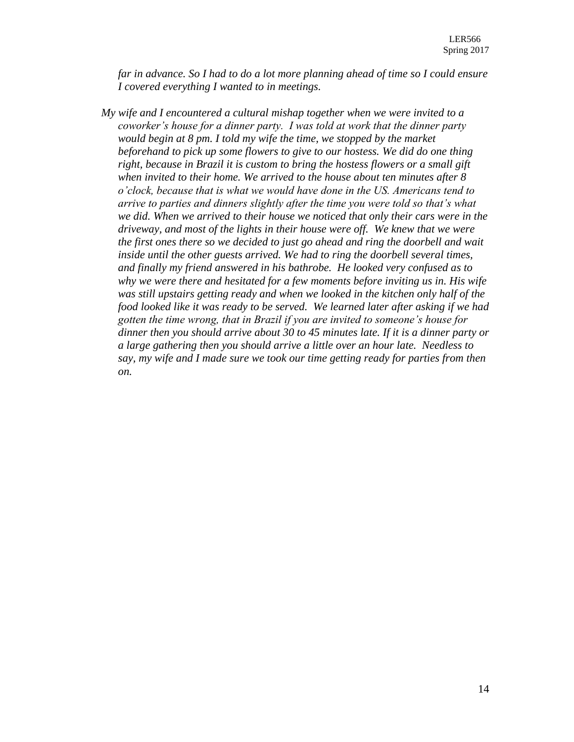*far in advance. So I had to do a lot more planning ahead of time so I could ensure I covered everything I wanted to in meetings.*

*My wife and I encountered a cultural mishap together when we were invited to a coworker's house for a dinner party. I was told at work that the dinner party would begin at 8 pm. I told my wife the time, we stopped by the market beforehand to pick up some flowers to give to our hostess. We did do one thing right, because in Brazil it is custom to bring the hostess flowers or a small gift when invited to their home. We arrived to the house about ten minutes after 8 o'clock, because that is what we would have done in the US. Americans tend to arrive to parties and dinners slightly after the time you were told so that's what we did. When we arrived to their house we noticed that only their cars were in the driveway, and most of the lights in their house were off. We knew that we were the first ones there so we decided to just go ahead and ring the doorbell and wait inside until the other guests arrived. We had to ring the doorbell several times, and finally my friend answered in his bathrobe. He looked very confused as to why we were there and hesitated for a few moments before inviting us in. His wife was still upstairs getting ready and when we looked in the kitchen only half of the food looked like it was ready to be served. We learned later after asking if we had gotten the time wrong, that in Brazil if you are invited to someone's house for dinner then you should arrive about 30 to 45 minutes late. If it is a dinner party or a large gathering then you should arrive a little over an hour late. Needless to say, my wife and I made sure we took our time getting ready for parties from then on.*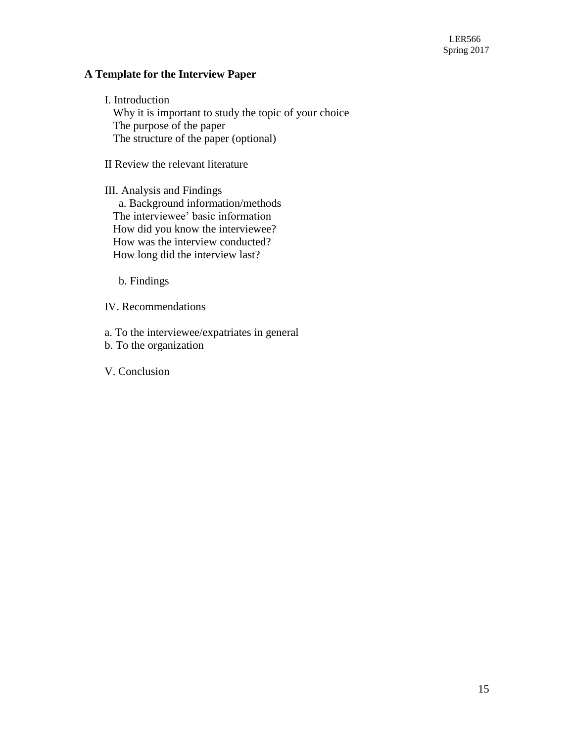# **A Template for the Interview Paper**

I. Introduction Why it is important to study the topic of your choice The purpose of the paper The structure of the paper (optional)

II Review the relevant literature

III. Analysis and Findings a. Background information/methods The interviewee' basic information How did you know the interviewee? How was the interview conducted? How long did the interview last?

b. Findings

IV. Recommendations

a. To the interviewee/expatriates in general

b. To the organization

V. Conclusion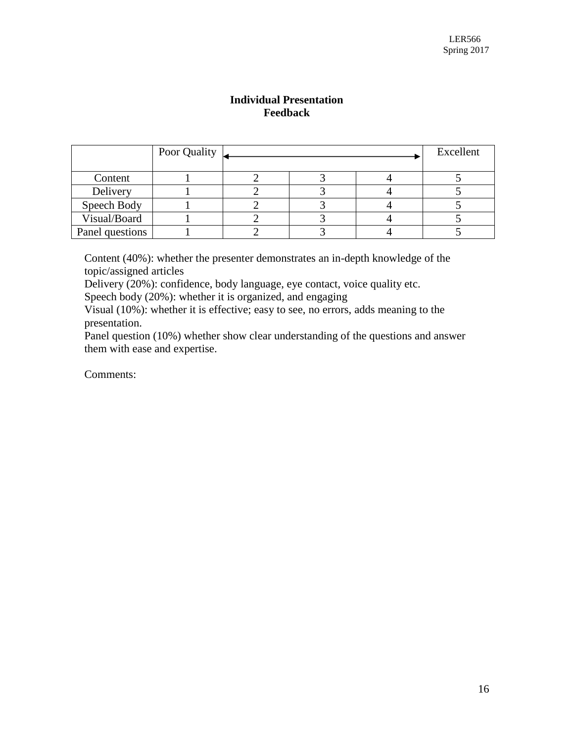## **Individual Presentation Feedback**

|                 | Poor Quality |  | Excellent |  |
|-----------------|--------------|--|-----------|--|
|                 |              |  |           |  |
| Content         |              |  |           |  |
| Delivery        |              |  |           |  |
| Speech Body     |              |  |           |  |
| Visual/Board    |              |  |           |  |
| Panel questions |              |  |           |  |

Content (40%): whether the presenter demonstrates an in-depth knowledge of the topic/assigned articles

Delivery (20%): confidence, body language, eye contact, voice quality etc.

Speech body (20%): whether it is organized, and engaging

Visual (10%): whether it is effective; easy to see, no errors, adds meaning to the presentation.

Panel question (10%) whether show clear understanding of the questions and answer them with ease and expertise.

Comments: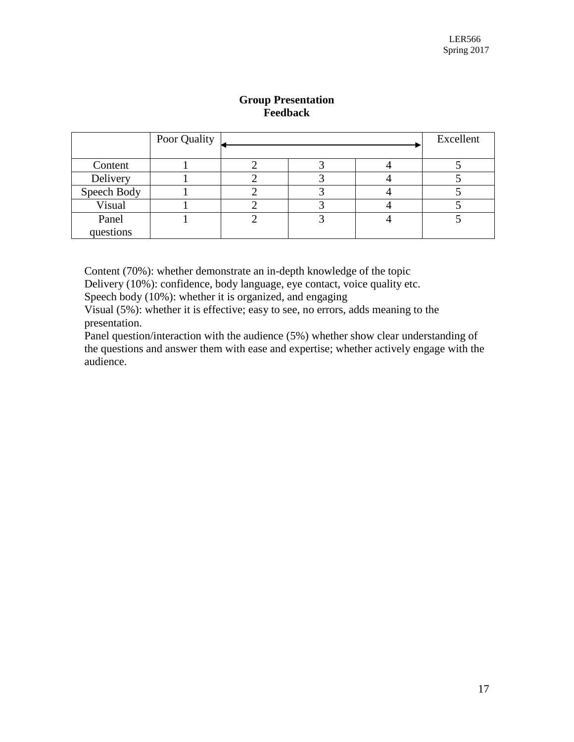|             | Poor Quality |  | Excellent |
|-------------|--------------|--|-----------|
| Content     |              |  |           |
|             |              |  |           |
| Delivery    |              |  |           |
| Speech Body |              |  |           |
| Visual      |              |  |           |
| Panel       |              |  |           |
| questions   |              |  |           |

## **Group Presentation Feedback**

Content (70%): whether demonstrate an in-depth knowledge of the topic

Delivery (10%): confidence, body language, eye contact, voice quality etc.

Speech body (10%): whether it is organized, and engaging

Visual (5%): whether it is effective; easy to see, no errors, adds meaning to the presentation.

Panel question/interaction with the audience (5%) whether show clear understanding of the questions and answer them with ease and expertise; whether actively engage with the audience.